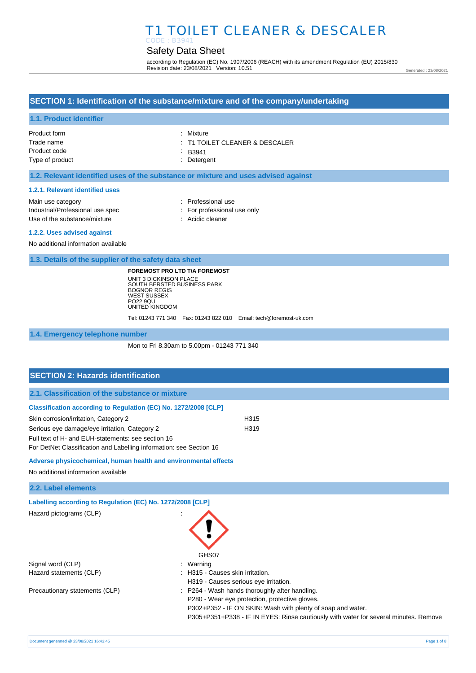## Safety Data Sheet

according to Regulation (EC) No. 1907/2006 (REACH) with its amendment Regulation (EU) 2015/830 Revision date: 23/08/2021 Version: 10.51

Generated : 23/08/2021

## **SECTION 1: Identification of the substance/mixture and of the company/undertaking**

#### **1.1. Product identifier**

| Product form    | : Mixture                          |
|-----------------|------------------------------------|
| Trade name      | $\pm$ T1 TOILET CLEANER & DESCALER |
| Product code    | $-B3941$                           |
| Type of product | : Detergent                        |

#### **1.2. Relevant identified uses of the substance or mixture and uses advised against**

#### **1.2.1. Relevant identified uses**

| Main use category                |  |
|----------------------------------|--|
| Industrial/Professional use spec |  |
| Use of the substance/mixture     |  |

- : Professional use
- : For professional use only

: Acidic cleaner

#### **1.2.2. Uses advised against**

No additional information available

**1.3. Details of the supplier of the safety data sheet**

**FOREMOST PRO LTD T/A FOREMOST** UNIT 3 DICKINSON PLACE SOUTH BERSTED BUSINESS PARK BOGNOR REGIS WEST SUSSEX PO22 9QU UNITED KINGDOM

Tel: 01243 771 340 Fax: 01243 822 010 Email: tech@foremost-uk.com

**1.4. Emergency telephone number**

Mon to Fri 8.30am to 5.00pm - 01243 771 340

## **SECTION 2: Hazards identification**

|  | 2.1. Classification of the substance or mixture |  |  |  |
|--|-------------------------------------------------|--|--|--|
|--|-------------------------------------------------|--|--|--|

#### **Classification according to Regulation (EC) No. 1272/2008 [CLP]**

| Skin corrosion/irritation, Category 2              | H315             |
|----------------------------------------------------|------------------|
| Serious eye damage/eye irritation, Category 2      | H <sub>319</sub> |
| Full text of H- and EUH-statements: see section 16 |                  |

For DetNet Classification and Labelling information: see Section 16

#### **Adverse physicochemical, human health and environmental effects**

No additional information available

**2.2. Label elements**

**Labelling according to Regulation (EC) No. 1272/2008 [CLP]**

| Hazard pictograms (CLP)        |                                                                                      |
|--------------------------------|--------------------------------------------------------------------------------------|
|                                | GHS07                                                                                |
| Signal word (CLP)              | Warning                                                                              |
| Hazard statements (CLP)        | : H315 - Causes skin irritation.                                                     |
|                                | H319 - Causes serious eye irritation.                                                |
| Precautionary statements (CLP) | P264 - Wash hands thoroughly after handling.                                         |
|                                | P280 - Wear eye protection, protective gloves.                                       |
|                                | P302+P352 - IF ON SKIN: Wash with plenty of soap and water.                          |
|                                | P305+P351+P338 - IF IN EYES: Rinse cautiously with water for several minutes. Remove |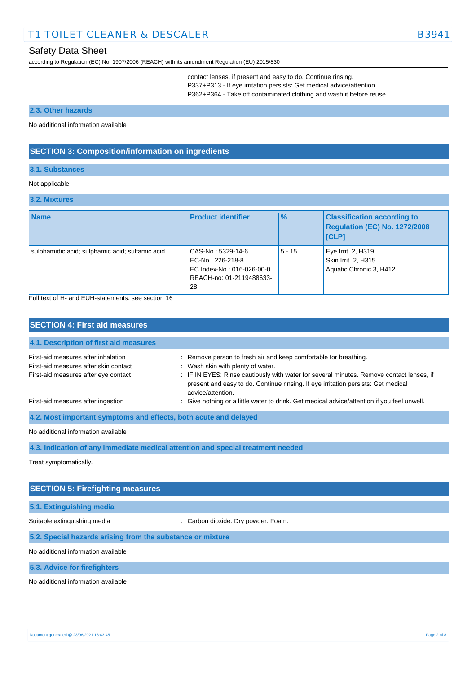according to Regulation (EC) No. 1907/2006 (REACH) with its amendment Regulation (EU) 2015/830

contact lenses, if present and easy to do. Continue rinsing. P337+P313 - If eye irritation persists: Get medical advice/attention.

P362+P364 - Take off contaminated clothing and wash it before reuse.

#### **2.3. Other hazards**

No additional information available

#### **SECTION 3: Composition/information on ingredients**

#### **3.1. Substances**

#### Not applicable

#### **3.2. Mixtures**

| <b>Name</b>                                     | <b>Product identifier</b>                                                                               | $\%$     | <b>Classification according to</b><br>Regulation (EC) No. 1272/2008<br><b>ICLP1</b> |
|-------------------------------------------------|---------------------------------------------------------------------------------------------------------|----------|-------------------------------------------------------------------------------------|
| sulphamidic acid; sulphamic acid; sulfamic acid | CAS-No.: 5329-14-6<br>EC-No.: 226-218-8<br>EC Index-No.: 016-026-00-0<br>REACH-no: 01-2119488633-<br>28 | $5 - 15$ | Eye Irrit. 2, H319<br>Skin Irrit. 2, H315<br>Aquatic Chronic 3, H412                |

Full text of H- and EUH-statements: see section 16

| <b>SECTION 4: First aid measures</b>                                                                                 |                                                                                                                                                                                                                                                                                                             |
|----------------------------------------------------------------------------------------------------------------------|-------------------------------------------------------------------------------------------------------------------------------------------------------------------------------------------------------------------------------------------------------------------------------------------------------------|
| 4.1. Description of first aid measures                                                                               |                                                                                                                                                                                                                                                                                                             |
| First-aid measures after inhalation<br>First-aid measures after skin contact<br>First-aid measures after eye contact | : Remove person to fresh air and keep comfortable for breathing.<br>: Wash skin with plenty of water.<br>: IF IN EYES: Rinse cautiously with water for several minutes. Remove contact lenses, if<br>present and easy to do. Continue rinsing. If eye irritation persists: Get medical<br>advice/attention. |
| First-aid measures after ingestion                                                                                   | : Give nothing or a little water to drink. Get medical advice/attention if you feel unwell.                                                                                                                                                                                                                 |
| 4.2. Most important symptoms and effects, both acute and delayed                                                     |                                                                                                                                                                                                                                                                                                             |

No additional information available

**4.3. Indication of any immediate medical attention and special treatment needed**

Treat symptomatically.

## **SECTION 5: Firefighting measures**

#### **5.1. Extinguishing media**

Suitable extinguishing media : Carbon dioxide. Dry powder. Foam.

**5.2. Special hazards arising from the substance or mixture**

No additional information available

**5.3. Advice for firefighters**

No additional information available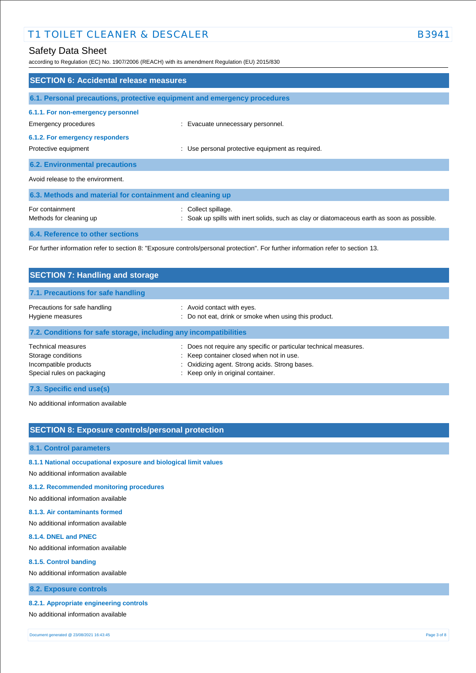## Safety Data Sheet

according to Regulation (EC) No. 1907/2006 (REACH) with its amendment Regulation (EU) 2015/830

| <b>SECTION 6: Accidental release measures</b>                            |                                                                                                                                   |  |
|--------------------------------------------------------------------------|-----------------------------------------------------------------------------------------------------------------------------------|--|
| 6.1. Personal precautions, protective equipment and emergency procedures |                                                                                                                                   |  |
| 6.1.1. For non-emergency personnel<br>Emergency procedures               | : Evacuate unnecessary personnel.                                                                                                 |  |
| 6.1.2. For emergency responders<br>Protective equipment                  | : Use personal protective equipment as required.                                                                                  |  |
| <b>6.2. Environmental precautions</b>                                    |                                                                                                                                   |  |
| Avoid release to the environment.                                        |                                                                                                                                   |  |
| 6.3. Methods and material for containment and cleaning up                |                                                                                                                                   |  |
| For containment<br>Methods for cleaning up                               | : Collect spillage.<br>: Soak up spills with inert solids, such as clay or diatomaceous earth as soon as possible.                |  |
| <b>6.4. Reference to other sections</b>                                  |                                                                                                                                   |  |
|                                                                          | For further information refer to section 8: "Exposure controls/personal protection". For further information refer to section 13. |  |

| <b>SECTION 7: Handling and storage</b>                                                                 |                                                                                                                                                                                                     |
|--------------------------------------------------------------------------------------------------------|-----------------------------------------------------------------------------------------------------------------------------------------------------------------------------------------------------|
| 7.1. Precautions for safe handling                                                                     |                                                                                                                                                                                                     |
| Precautions for safe handling<br>Hygiene measures                                                      | : Avoid contact with eyes.<br>Do not eat, drink or smoke when using this product.                                                                                                                   |
| 7.2. Conditions for safe storage, including any incompatibilities                                      |                                                                                                                                                                                                     |
| <b>Technical measures</b><br>Storage conditions<br>Incompatible products<br>Special rules on packaging | Does not require any specific or particular technical measures.<br>: Keep container closed when not in use.<br>: Oxidizing agent. Strong acids. Strong bases.<br>: Keep only in original container. |
| 7.3. Specific end use(s)                                                                               |                                                                                                                                                                                                     |

No additional information available

## **SECTION 8: Exposure controls/personal protection**

#### **8.1. Control parameters**

- **8.1.1 National occupational exposure and biological limit values**
- No additional information available

#### **8.1.2. Recommended monitoring procedures**

No additional information available

#### **8.1.3. Air contaminants formed**

No additional information available

#### **8.1.4. DNEL and PNEC**

No additional information available

#### **8.1.5. Control banding**

No additional information available

#### **8.2. Exposure controls**

#### **8.2.1. Appropriate engineering controls**

No additional information available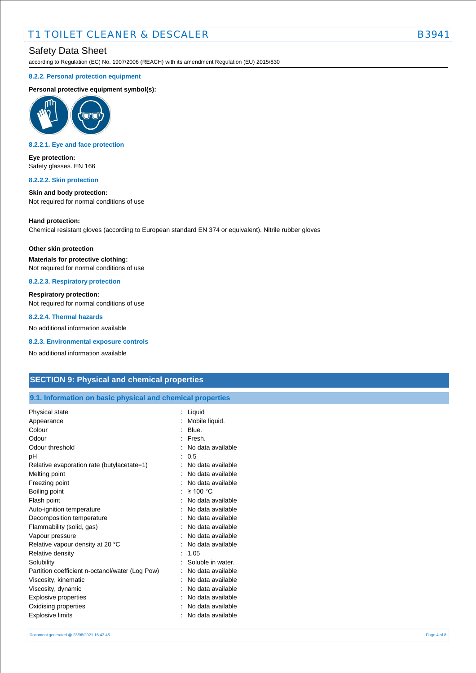## Safety Data Sheet

according to Regulation (EC) No. 1907/2006 (REACH) with its amendment Regulation (EU) 2015/830

#### **8.2.2. Personal protection equipment**

#### **Personal protective equipment symbol(s):**



#### **8.2.2.1. Eye and face protection**

**Eye protection:** Safety glasses. EN 166

#### **8.2.2.2. Skin protection**

**Skin and body protection:**

Not required for normal conditions of use

#### **Hand protection:**

Chemical resistant gloves (according to European standard EN 374 or equivalent). Nitrile rubber gloves

#### **Other skin protection**

**Materials for protective clothing:** Not required for normal conditions of use

**8.2.2.3. Respiratory protection**

#### **Respiratory protection:**

Not required for normal conditions of use

#### **8.2.2.4. Thermal hazards**

No additional information available

**8.2.3. Environmental exposure controls**

No additional information available

## **SECTION 9: Physical and chemical properties**

#### **9.1. Information on basic physical and chemical properties**

| Physical state                                  | Liquid            |
|-------------------------------------------------|-------------------|
| Appearance                                      | Mobile liquid.    |
| Colour                                          | Blue.             |
| Odour                                           | Fresh.            |
| Odour threshold                                 | No data available |
| рH                                              | 0.5               |
| Relative evaporation rate (butylacetate=1)      | No data available |
| Melting point                                   | No data available |
| Freezing point                                  | No data available |
| Boiling point                                   | : $\geq 100$ °C   |
| Flash point                                     | No data available |
| Auto-ignition temperature                       | No data available |
| Decomposition temperature                       | No data available |
| Flammability (solid, gas)                       | No data available |
| Vapour pressure                                 | No data available |
| Relative vapour density at 20 °C                | No data available |
| Relative density                                | 1.05              |
| Solubility                                      | Soluble in water. |
| Partition coefficient n-octanol/water (Log Pow) | No data available |
| Viscosity, kinematic                            | No data available |
| Viscosity, dynamic                              | No data available |
| Explosive properties                            | No data available |
| Oxidising properties                            | No data available |
| Explosive limits                                | No data available |
|                                                 |                   |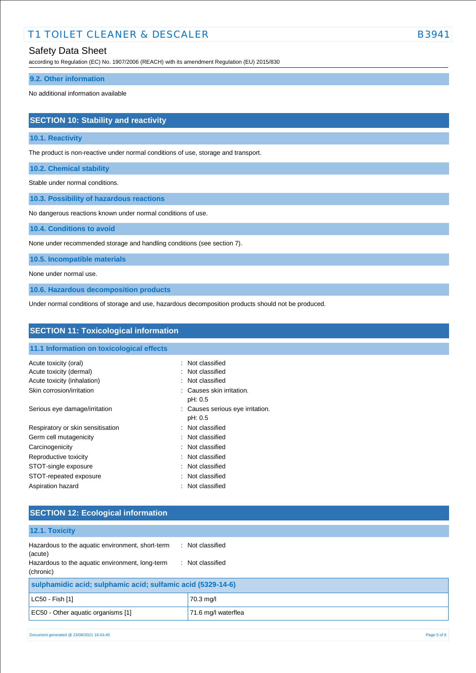## Safety Data Sheet

according to Regulation (EC) No. 1907/2006 (REACH) with its amendment Regulation (EU) 2015/830

#### **9.2. Other information**

No additional information available

## **SECTION 10: Stability and reactivity**

#### **10.1. Reactivity**

The product is non-reactive under normal conditions of use, storage and transport.

**10.2. Chemical stability**

Stable under normal conditions.

**10.3. Possibility of hazardous reactions**

No dangerous reactions known under normal conditions of use.

**10.4. Conditions to avoid**

None under recommended storage and handling conditions (see section 7).

**10.5. Incompatible materials**

None under normal use.

**10.6. Hazardous decomposition products**

Under normal conditions of storage and use, hazardous decomposition products should not be produced.

| <b>SECTION 11: Toxicological information</b>                                                                                                                                   |                                                                                                                                                 |  |
|--------------------------------------------------------------------------------------------------------------------------------------------------------------------------------|-------------------------------------------------------------------------------------------------------------------------------------------------|--|
| 11.1 Information on toxicological effects                                                                                                                                      |                                                                                                                                                 |  |
| Acute toxicity (oral)<br>Acute toxicity (dermal)<br>Acute toxicity (inhalation)<br>Skin corrosion/irritation                                                                   | Not classified<br>٠.<br>Not classified<br>Not classified<br>: Causes skin irritation.<br>pH: 0.5                                                |  |
| Serious eye damage/irritation                                                                                                                                                  | Causes serious eye irritation.<br>÷<br>pH: 0.5                                                                                                  |  |
| Respiratory or skin sensitisation<br>Germ cell mutagenicity<br>Carcinogenicity<br>Reproductive toxicity<br>STOT-single exposure<br>STOT-repeated exposure<br>Aspiration hazard | : Not classified<br>: Not classified<br>: Not classified<br>Not classified<br>÷<br>Not classified<br>÷<br>Not classified<br>Not classified<br>÷ |  |

# **SECTION 12: Ecological information**

| 12.1. Toxicity                                               |                     |
|--------------------------------------------------------------|---------------------|
| Hazardous to the aquatic environment, short-term<br>(acute)  | : Not classified    |
| Hazardous to the aquatic environment, long-term<br>(chronic) | : Not classified    |
| sulphamidic acid; sulphamic acid; sulfamic acid (5329-14-6)  |                     |
| LC50 - Fish [1]                                              | 70.3 mg/l           |
| EC50 - Other aquatic organisms [1]                           | 71.6 mg/l waterflea |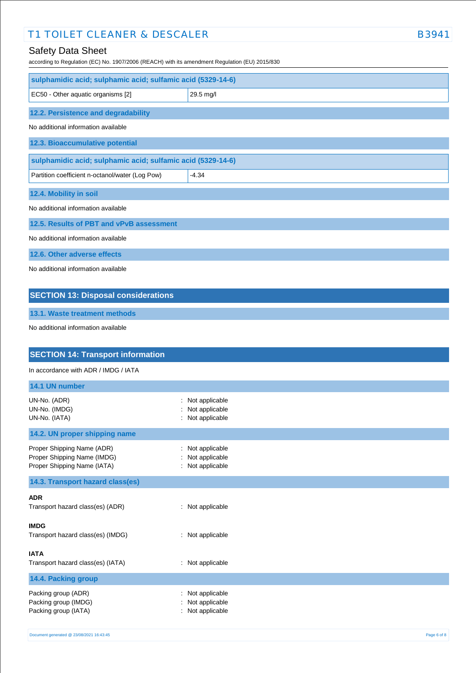# Safety Data Sheet

according to Regulation (EC) No. 1907/2006 (REACH) with its amendment Regulation (EU) 2015/830

| sulphamidic acid; sulphamic acid; sulfamic acid (5329-14-6) |           |  |
|-------------------------------------------------------------|-----------|--|
| EC50 - Other aquatic organisms [2]                          | 29.5 mg/l |  |
| 12.2. Persistence and degradability                         |           |  |
| No additional information available                         |           |  |
| 12.3. Bioaccumulative potential                             |           |  |
| sulphamidic acid; sulphamic acid; sulfamic acid (5329-14-6) |           |  |
| Partition coefficient n-octanol/water (Log Pow)             | $-4.34$   |  |
| 12.4. Mobility in soil                                      |           |  |
| No additional information available                         |           |  |
| 12.5. Results of PBT and vPvB assessment                    |           |  |
| No additional information available                         |           |  |
| 12.6. Other adverse effects                                 |           |  |
| No additional information available                         |           |  |
|                                                             |           |  |
| <b>SECTION 13: Disposal considerations</b>                  |           |  |

**13.1. Waste treatment methods**

No additional information available

| <b>SECTION 14: Transport information</b>                                                 |                                                                                |  |  |  |
|------------------------------------------------------------------------------------------|--------------------------------------------------------------------------------|--|--|--|
| In accordance with ADR / IMDG / IATA                                                     |                                                                                |  |  |  |
| 14.1 UN number                                                                           |                                                                                |  |  |  |
| UN-No. (ADR)<br>UN-No. (IMDG)<br>UN-No. (IATA)                                           | Not applicable<br>$\overline{\phantom{a}}$<br>Not applicable<br>Not applicable |  |  |  |
| 14.2. UN proper shipping name                                                            |                                                                                |  |  |  |
| Proper Shipping Name (ADR)<br>Proper Shipping Name (IMDG)<br>Proper Shipping Name (IATA) | : Not applicable<br>Not applicable<br>: Not applicable                         |  |  |  |
| 14.3. Transport hazard class(es)                                                         |                                                                                |  |  |  |
| <b>ADR</b><br>Transport hazard class(es) (ADR)                                           | : Not applicable                                                               |  |  |  |
| <b>IMDG</b><br>Transport hazard class(es) (IMDG)                                         | : Not applicable                                                               |  |  |  |
| <b>IATA</b><br>Transport hazard class(es) (IATA)                                         | : Not applicable                                                               |  |  |  |
| 14.4. Packing group                                                                      |                                                                                |  |  |  |
| Packing group (ADR)<br>Packing group (IMDG)<br>Packing group (IATA)                      | Not applicable<br>Not applicable<br>: Not applicable                           |  |  |  |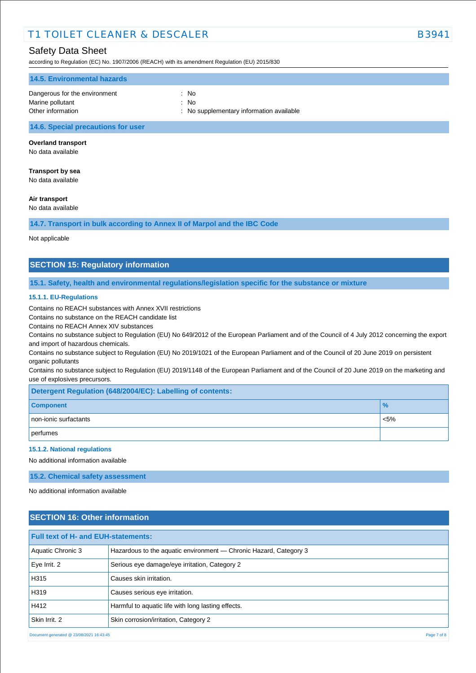## Safety Data Sheet

according to Regulation (EC) No. 1907/2006 (REACH) with its amendment Regulation (EU) 2015/830

| 14.5. Environmental hazards                       |                                          |
|---------------------------------------------------|------------------------------------------|
| Dangerous for the environment<br>Marine pollutant | : No<br>$:$ No                           |
| Other information                                 | : No supplementary information available |

#### **14.6. Special precautions for user**

#### **Overland transport**

No data available

## **Transport by sea**

No data available

#### **Air transport**

No data available

**14.7. Transport in bulk according to Annex II of Marpol and the IBC Code**

#### Not applicable

### **SECTION 15: Regulatory information**

#### **15.1. Safety, health and environmental regulations/legislation specific for the substance or mixture**

#### **15.1.1. EU-Regulations**

Contains no REACH substances with Annex XVII restrictions

Contains no substance on the REACH candidate list

Contains no REACH Annex XIV substances

Contains no substance subject to Regulation (EU) No 649/2012 of the European Parliament and of the Council of 4 July 2012 concerning the export and import of hazardous chemicals.

Contains no substance subject to Regulation (EU) No 2019/1021 of the European Parliament and of the Council of 20 June 2019 on persistent organic pollutants

Contains no substance subject to Regulation (EU) 2019/1148 of the European Parliament and of the Council of 20 June 2019 on the marketing and use of explosives precursors.

| Detergent Regulation (648/2004/EC): Labelling of contents: |               |  |
|------------------------------------------------------------|---------------|--|
| <b>Component</b>                                           | $\frac{9}{6}$ |  |
| non-ionic surfactants                                      | $\sim$ 5%     |  |
| perfumes                                                   |               |  |

#### **15.1.2. National regulations**

No additional information available

**15.2. Chemical safety assessment**

No additional information available

## **SECTION 16: Other information**

| <b>Full text of H- and EUH-statements:</b> |                                                                   |  |
|--------------------------------------------|-------------------------------------------------------------------|--|
| Aquatic Chronic 3                          | Hazardous to the aquatic environment - Chronic Hazard, Category 3 |  |
| Eye Irrit. 2                               | Serious eye damage/eye irritation, Category 2                     |  |
| H315                                       | Causes skin irritation.                                           |  |
| H319                                       | Causes serious eye irritation.                                    |  |
| H412                                       | Harmful to aquatic life with long lasting effects.                |  |
| Skin Irrit. 2                              | Skin corrosion/irritation, Category 2                             |  |

Document generated @ 23/08/2021 16:43:45 Page 7 of 8